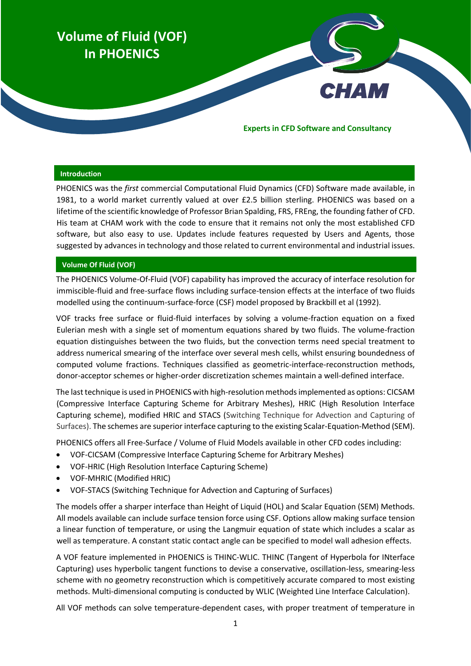# **Volume of Fluid (VOF) In PHOENICS**

#### **Experts in CFD Software and Consultancy**

**CHAM** 

#### **Introduction**

PHOENICS was the *first* commercial Computational Fluid Dynamics (CFD) Software made available, in 1981, to a world market currently valued at over £2.5 billion sterling. PHOENICS was based on a lifetime of the scientific knowledge of Professor Brian Spalding, FRS, FREng, the founding father of CFD. His team at CHAM work with the code to ensure that it remains not only the most established CFD software, but also easy to use. Updates include features requested by Users and Agents, those suggested by advances in technology and those related to current environmental and industrial issues.

## **Volume Of Fluid (VOF)**

The PHOENICS Volume-Of-Fluid (VOF) capability has improved the accuracy of interface resolution for immiscible-fluid and free-surface flows including surface-tension effects at the interface of two fluids modelled using the continuum-surface-force (CSF) model proposed by Brackbill et al (1992).

VOF tracks free surface or fluid-fluid interfaces by solving a volume-fraction equation on a fixed Eulerian mesh with a single set of momentum equations shared by two fluids. The volume-fraction equation distinguishes between the two fluids, but the convection terms need special treatment to address numerical smearing of the interface over several mesh cells, whilst ensuring boundedness of computed volume fractions. Techniques classified as geometric-interface-reconstruction methods, donor-acceptor schemes or higher-order discretization schemes maintain a well-defined interface.

The lasttechnique is used in PHOENICS with high-resolution methods implemented as options: CICSAM (Compressive Interface Capturing Scheme for Arbitrary Meshes), HRIC (High Resolution Interface Capturing scheme), modified HRIC and STACS (Switching Technique for Advection and Capturing of Surfaces). The schemes are superior interface capturing to the existing Scalar-Equation-Method (SEM).

PHOENICS offers all Free-Surface / Volume of Fluid Models available in other CFD codes including:

- VOF-CICSAM (Compressive Interface Capturing Scheme for Arbitrary Meshes)
- VOF-HRIC (High Resolution Interface Capturing Scheme)
- VOF-MHRIC (Modified HRIC)
- VOF-STACS (Switching Technique for Advection and Capturing of Surfaces)

The models offer a sharper interface than Height of Liquid (HOL) and Scalar Equation (SEM) Methods. All models available can include surface tension force using CSF. Options allow making surface tension a linear function of temperature, or using the Langmuir equation of state which includes a scalar as well as temperature. A constant static contact angle can be specified to model wall adhesion effects.

A VOF feature implemented in PHOENICS is THINC-WLIC. THINC (Tangent of Hyperbola for INterface Capturing) uses hyperbolic tangent functions to devise a conservative, oscillation-less, smearing-less scheme with no geometry reconstruction which is competitively accurate compared to most existing methods. Multi-dimensional computing is conducted by WLIC (Weighted Line Interface Calculation).

All VOF methods can solve temperature-dependent cases, with proper treatment of temperature in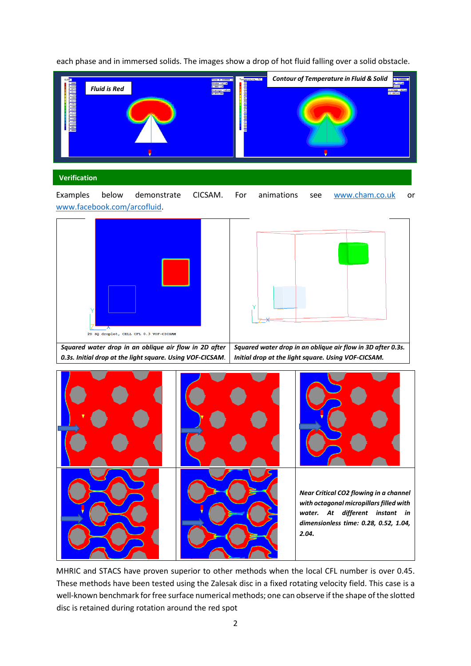*Fluid is Red Contour of Temperature in Fluid & Solid*

each phase and in immersed solids. The images show a drop of hot fluid falling over a solid obstacle.

## **Verification**

Examples below demonstrate CICSAM. For animations see [www.cham.co.uk](http://www.cham.co.uk/) or [www.facebook.com/arcofluid.](http://www.facebook.com/arcofluid)





MHRIC and STACS have proven superior to other methods when the local CFL number is over 0.45. These methods have been tested using the Zalesak disc in a fixed rotating velocity field. This case is a well-known benchmark for free surface numerical methods; one can observe if the shape of the slotted disc is retained during rotation around the red spot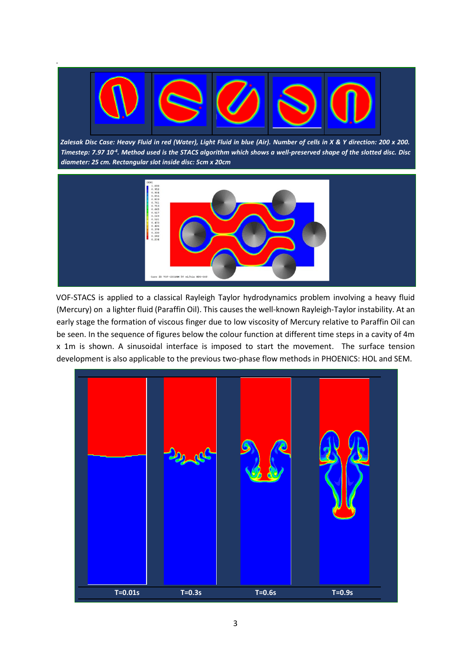

.

*Zalesak Disc Case: Heavy Fluid in red (Water), Light Fluid in blue (Air). Number of cells in X & Y direction: 200 x 200. Timestep: 7.97 10-4 . Method used is the STACS algorithm which shows a well-preserved shape of the slotted disc. Disc diameter: 25 cm. Rectangular slot inside disc: 5cm x 20cm*



VOF-STACS is applied to a classical Rayleigh Taylor hydrodynamics problem involving a heavy fluid (Mercury) on a lighter fluid (Paraffin Oil). This causes the well-known Rayleigh-Taylor instability. At an early stage the formation of viscous finger due to low viscosity of Mercury relative to Paraffin Oil can be seen. In the sequence of figures below the colour function at different time steps in a cavity of 4m x 1m is shown. A sinusoidal interface is imposed to start the movement. The surface tension development is also applicable to the previous two-phase flow methods in PHOENICS: HOL and SEM.